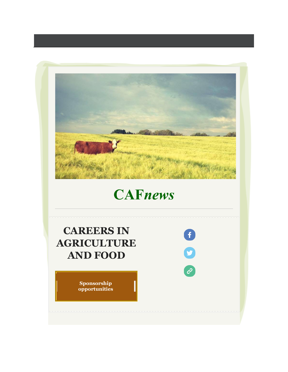

# **CAF***news*

# **CAREERS IN AGRICULTURE AND FOOD**

**Sponsorship opportunities**

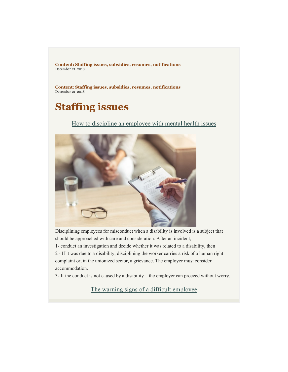**Content: Staffing issues, subsidies, resumes, notifications** December 21 2018

**Content: Staffing issues, subsidies, resumes, notifications** December 21 2018

# **Staffing issues**

How to discipline an employee with mental health issues



Disciplining employees for misconduct when a disability is involved is a subject that should be approached with care and consideration. After an incident,

1- conduct an investigation and decide whether it was related to a disability, then

2 - If it was due to a disability, disciplining the worker carries a risk of a human right complaint or, in the unionized sector, a grievance. The employer must consider accommodation.

3- If the conduct is not caused by a disability – the employer can proceed without worry.

The warning signs of a difficult employee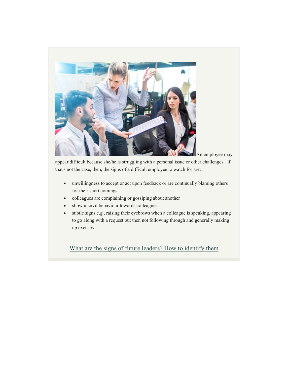

An employee may

appear difficult because she/he is struggling with a personal issue or other challenges If that's not the case, then, the signs of a difficult employee to watch for are:

- unwillingness to accept or act upon feedback or are continually blaming others for their short comings
- colleagues are complaining or gossiping about another
- show uncivil behaviour towards colleagues
- subtle signs e.g., raising their eyebrows when a colleague is speaking, appearing to go along with a request but then not following through and generally making up excuses

What are the signs of future leaders? How to identify them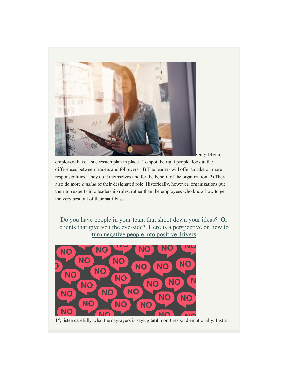

employers have a succession plan in place. To spot the right people, look at the differences between leaders and followers. 1) The leaders will offer to take on more responsibilities. They do it themselves and for the benefit of the organization. 2) They also do more *outside* of their designated role. Historically, however, organizations put their top experts into leadership roles, rather than the employees who know how to get the very best out of their staff base.

Do you have people in your team that shoot down your ideas? Or clients that give you the eye-side? Here is a perspective on how to turn negative people into positive drivers



1st, listen carefully what the naysayers is saying **and**, don't respond emotionally. Just a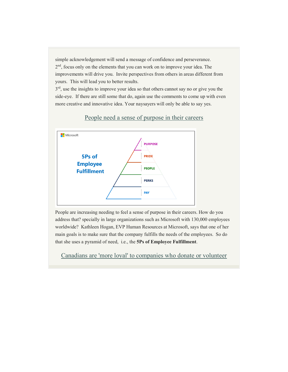simple acknowledgement will send a message of confidence and perseverance. 2<sup>nd</sup>, focus only on the elements that you can work on to improve your idea. The improvements will drive you. Invite perspectives from others in areas different from yours. This will lead you to better results.

 $3<sup>rd</sup>$ , use the insights to improve your idea so that others cannot say no or give you the side-eye. If there are still some that do, again use the comments to come up with even more creative and innovative idea. Your naysayers will only be able to say yes.



#### People need a sense of purpose in their careers

People are increasing needing to feel a sense of purpose in their careers. How do you address that? specially in large organizations such as Microsoft with 130,000 employees worldwide? Kathleen Hogan, EVP Human Resources at Microsoft, says that one of her main goals is to make sure that the company fulfills the needs of the employees. So do that she uses a pyramid of need, i.e., the **5Ps of Employee Fulfillment**.

Canadians are 'more loyal' to companies who donate or volunteer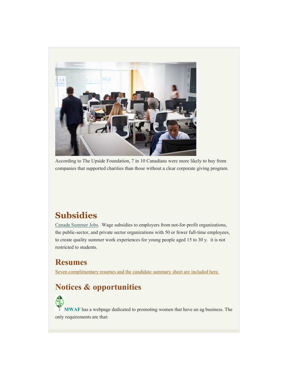

According to The Upside Foundation, 7 in 10 Canadians were more likely to buy from companies that supported charities than those without a clear corporate giving program.

### **Subsidies**

Canada Summer Jobs. Wage subsidies to employers from not-for-profit organizations, the public-sector, and private sector organizations with 50 or fewer full-time employees, to create quality summer work experiences for young people aged 15 to 30 y. it is not restricted to students.

### **Resumes**

Seven complimentary resumes and the candidate summary sheet are included here.

## **Notices & opportunities**

**MWAF** has a webpage dedicated to promoting women that have an ag business. The only requirements are that: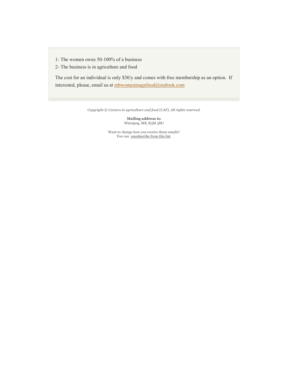- 1- The women owns 50-100% of a business
- 2- The business is in agriculture and food

The cost for an individual is only \$30/y and comes with free membership as an option. If interested, please, email us at mbwomeninagnfood@outlook.com

*Copyright © Careers in agriculture and food (CAF), All rights reserved.*

**Mailing address is:** Winnipeg, MB, R3M 3M7

Want to change how you receive these emails? You can unsubscribe from this list.